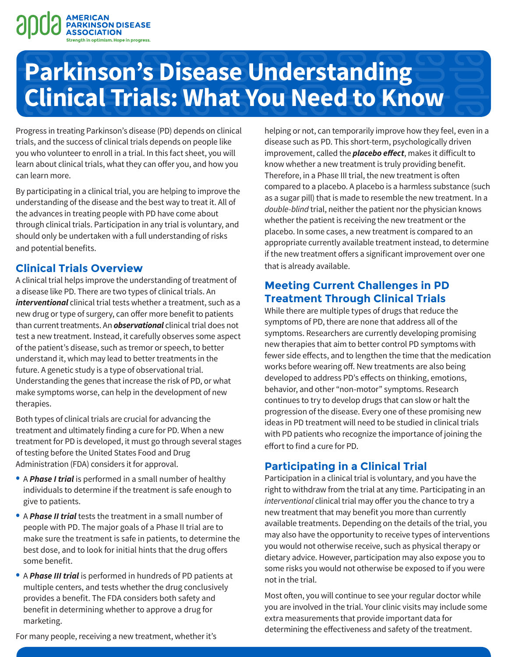

# **Parkinson's Disease Understanding Clinical Trials: What You Need to Know**

Progress in treating Parkinson's disease (PD) depends on clinical trials, and the success of clinical trials depends on people like you who volunteer to enroll in a trial. In this fact sheet, you will learn about clinical trials, what they can offer you, and how you can learn more.

By participating in a clinical trial, you are helping to improve the understanding of the disease and the best way to treat it. All of the advances in treating people with PD have come about through clinical trials. Participation in any trial is voluntary, and should only be undertaken with a full understanding of risks and potential benefits.

#### **Clinical Trials Overview**

A clinical trial helps improve the understanding of treatment of a disease like PD. There are two types of clinical trials. An *interventional* clinical trial tests whether a treatment, such as a new drug or type of surgery, can offer more benefit to patients than current treatments. An *observational* clinical trial does not test a new treatment. Instead, it carefully observes some aspect of the patient's disease, such as tremor or speech, to better understand it, which may lead to better treatments in the future. A genetic study is a type of observational trial. Understanding the genes that increase the risk of PD, or what make symptoms worse, can help in the development of new therapies.

Both types of clinical trials are crucial for advancing the treatment and ultimately finding a cure for PD. When a new treatment for PD is developed, it must go through several stages of testing before the United States Food and Drug Administration (FDA) considers it for approval.

- <sup>A</sup>*Phase I trial* is performed in a small number of healthy individuals to determine if the treatment is safe enough to give to patients.
- <sup>A</sup>*Phase II trial* tests the treatment in a small number of people with PD. The major goals of a Phase II trial are to make sure the treatment is safe in patients, to determine the best dose, and to look for initial hints that the drug offers some benefit.
- <sup>A</sup>*Phase III trial* is performed in hundreds of PD patients at multiple centers, and tests whether the drug conclusively provides a benefit. The FDA considers both safety and benefit in determining whether to approve a drug for marketing.

helping or not, can temporarily improve how they feel, even in a disease such as PD. This short-term, psychologically driven improvement, called the **placebo effect**, makes it difficult to know whether a new treatment is truly providing benefit. Therefore, in a Phase III trial, the new treatment is often compared to a placebo. A placebo is a harmless substance (such as a sugar pill) that is made to resemble the new treatment. In a *double-blind* trial, neither the patient nor the physician knows whether the patient is receiving the new treatment or the placebo. In some cases, a new treatment is compared to an appropriate currently available treatment instead, to determine if the new treatment offers a significant improvement over one that is already available.

#### **Meeting Current Challenges in PD Treatment Through Clinical Trials**

While there are multiple types of drugs that reduce the symptoms of PD, there are none that address all of the symptoms. Researchers are currently developing promising new therapies that aim to better control PD symptoms with fewer side effects, and to lengthen the time that the medication works before wearing off. New treatments are also being developed to address PD's effects on thinking, emotions, behavior, and other "non-motor" symptoms. Research continues to try to develop drugs that can slow or halt the progression of the disease. Every one of these promising new ideas in PD treatment will need to be studied in clinical trials with PD patients who recognize the importance of joining the effort to find a cure for PD.

#### **Participating in a Clinical Trial**

Participation in a clinical trial is voluntary, and you have the right to withdraw from the trial at any time. Participating in an *interventional* clinical trial may offer you the chance to try a new treatment that may benefit you more than currently available treatments. Depending on the details of the trial, you may also have the opportunity to receive types of interventions you would not otherwise receive, such as physical therapy or dietary advice. However, participation may also expose you to some risks you would not otherwise be exposed to if you were not in the trial.

Most often, you will continue to see your regular doctor while you are involved in the trial. Your clinic visits may include some extra measurements that provide important data for determining the effectiveness and safety of the treatment.

For many people, receiving a new treatment, whether it's